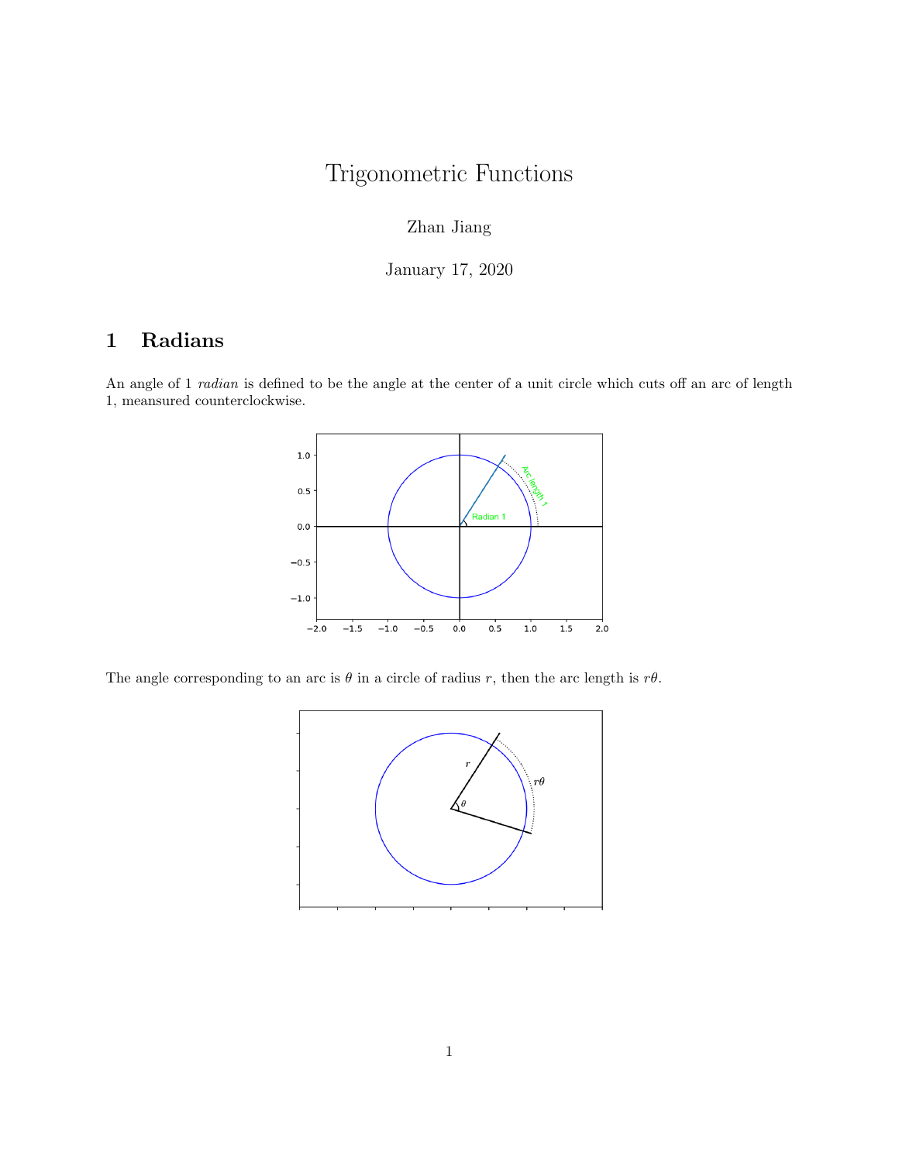# Trigonometric Functions

## Zhan Jiang

January 17, 2020

## 1 Radians

An angle of 1 radian is defined to be the angle at the center of a unit circle which cuts off an arc of length 1, meansured counterclockwise.



The angle corresponding to an arc is  $\theta$  in a circle of radius r, then the arc length is  $r\theta$ .

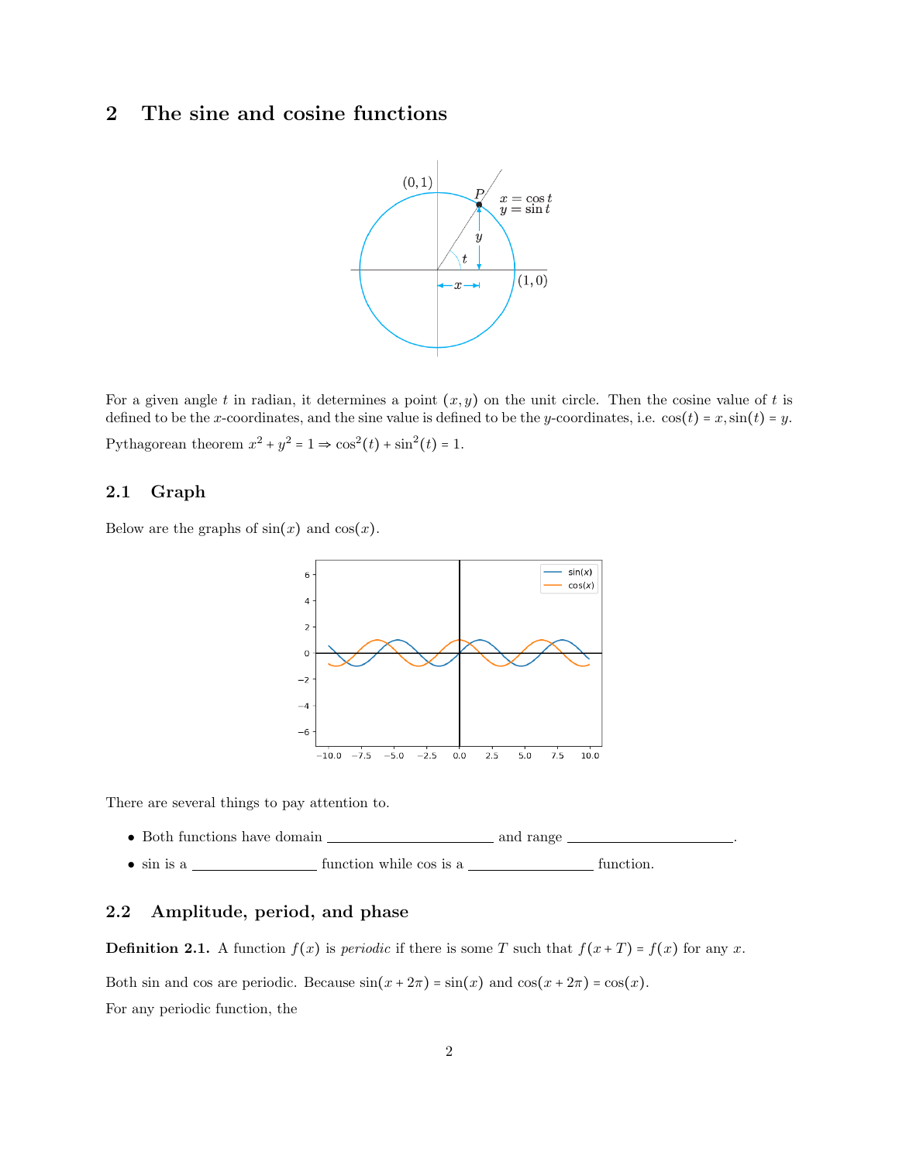## 2 The sine and cosine functions



For a given angle t in radian, it determines a point  $(x, y)$  on the unit circle. Then the cosine value of t is defined to be the x-coordinates, and the sine value is defined to be the y-coordinates, i.e.  $cos(t) = x$ ,  $sin(t) = y$ . Pythagorean theorem  $x^2 + y^2 = 1 \Rightarrow \cos^2(t) + \sin^2(t) = 1$ .

#### 2.1 Graph

Below are the graphs of  $sin(x)$  and  $cos(x)$ .



There are several things to pay attention to.

- Both functions have domain and range .
- $\sin$  is a  $\frac{ }{ }$  function while cos is a  $\frac{ }{ }$  function.

#### 2.2 Amplitude, period, and phase

**Definition 2.1.** A function  $f(x)$  is *periodic* if there is some T such that  $f(x+T) = f(x)$  for any x.

Both sin and cos are periodic. Because  $sin(x + 2\pi) = sin(x)$  and  $cos(x + 2\pi) = cos(x)$ . For any periodic function, the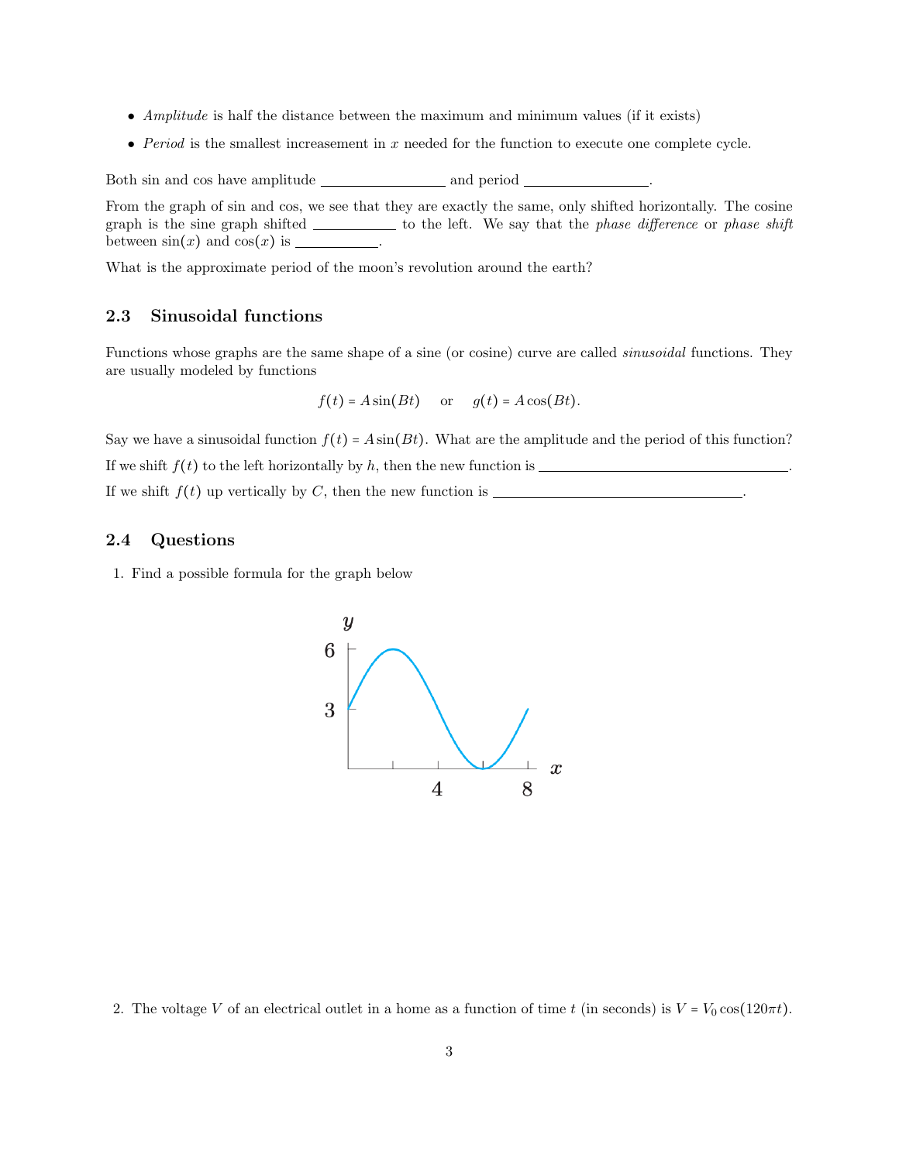- Amplitude is half the distance between the maximum and minimum values (if it exists)
- Period is the smallest increasement in  $x$  needed for the function to execute one complete cycle.

Both sin and cos have amplitude and period .

From the graph of sin and cos, we see that they are exactly the same, only shifted horizontally. The cosine graph is the sine graph shifted \_\_\_\_\_\_\_\_\_\_\_\_ to the left. We say that the *phase difference* or *phase shift* between sin(x) and cos(x) is .

What is the approximate period of the moon's revolution around the earth?

#### 2.3 Sinusoidal functions

Functions whose graphs are the same shape of a sine (or cosine) curve are called sinusoidal functions. They are usually modeled by functions

$$
f(t) = A\sin(Bt)
$$
 or  $g(t) = A\cos(Bt)$ .

Say we have a sinusoidal function  $f(t) = A\sin(Bt)$ . What are the amplitude and the period of this function? If we shift  $f(t)$  to the left horizontally by h, then the new function is  $\frac{1}{1-\frac{1}{2}}$ If we shift  $f(t)$  up vertically by C, then the new function is \_\_\_\_\_\_\_\_\_\_\_\_\_\_\_\_\_\_\_\_\_\_\_\_\_\_\_\_\_.

#### 2.4 Questions

1. Find a possible formula for the graph below



<sup>2.</sup> The voltage V of an electrical outlet in a home as a function of time t (in seconds) is  $V = V_0 \cos(120\pi t)$ .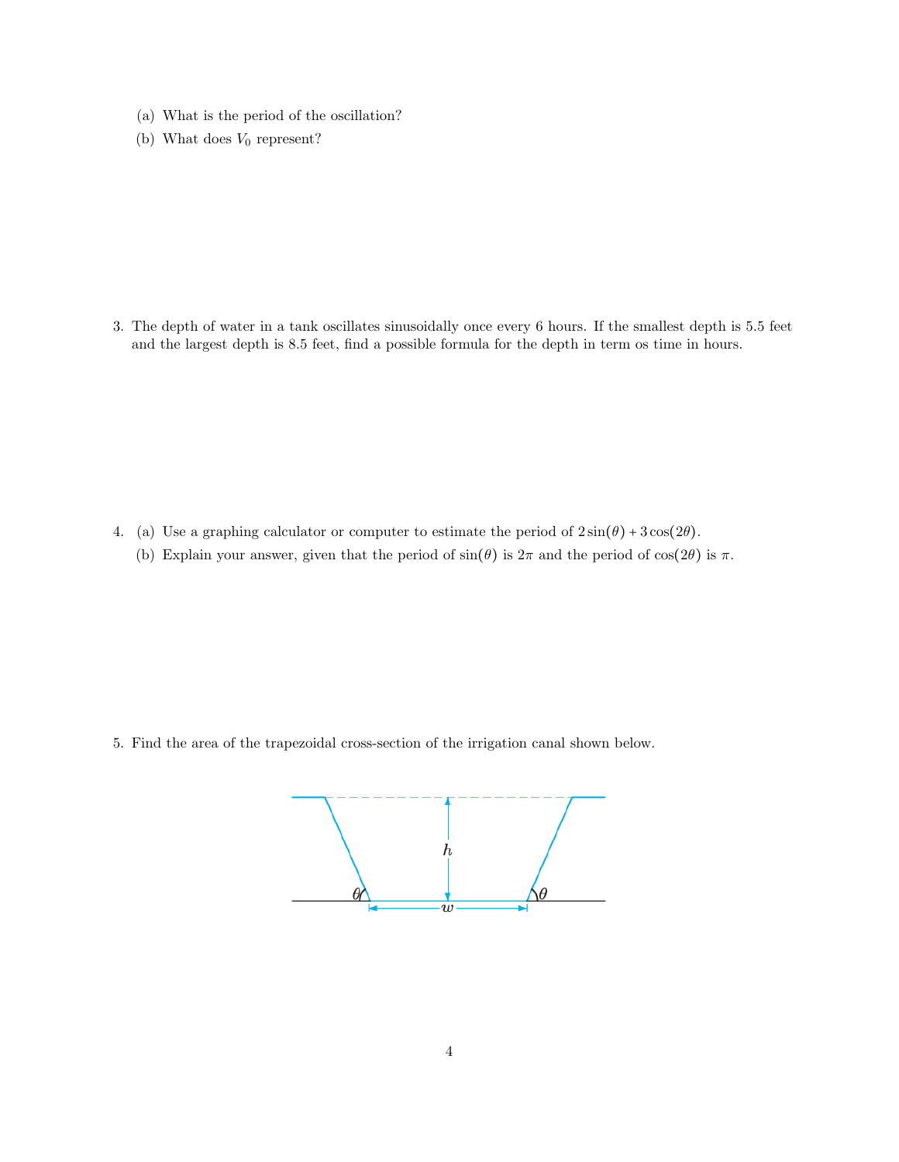- (a) What is the period of the oscillation?
- (b) What does  $V_0$  represent?

3. The depth of water in a tank oscillates sinusoidally once every 6 hours. If the smallest depth is 5.5 feet and the largest depth is 8.5 feet, find a possible formula for the depth in term os time in hours.

- 4. (a) Use a graphing calculator or computer to estimate the period of  $2\sin(\theta) + 3\cos(2\theta)$ .
	- (b) Explain your answer, given that the period of  $sin(\theta)$  is  $2\pi$  and the period of  $cos(2\theta)$  is  $\pi$ .

5. Find the area of the trapezoidal cross-section of the irrigation canal shown below.

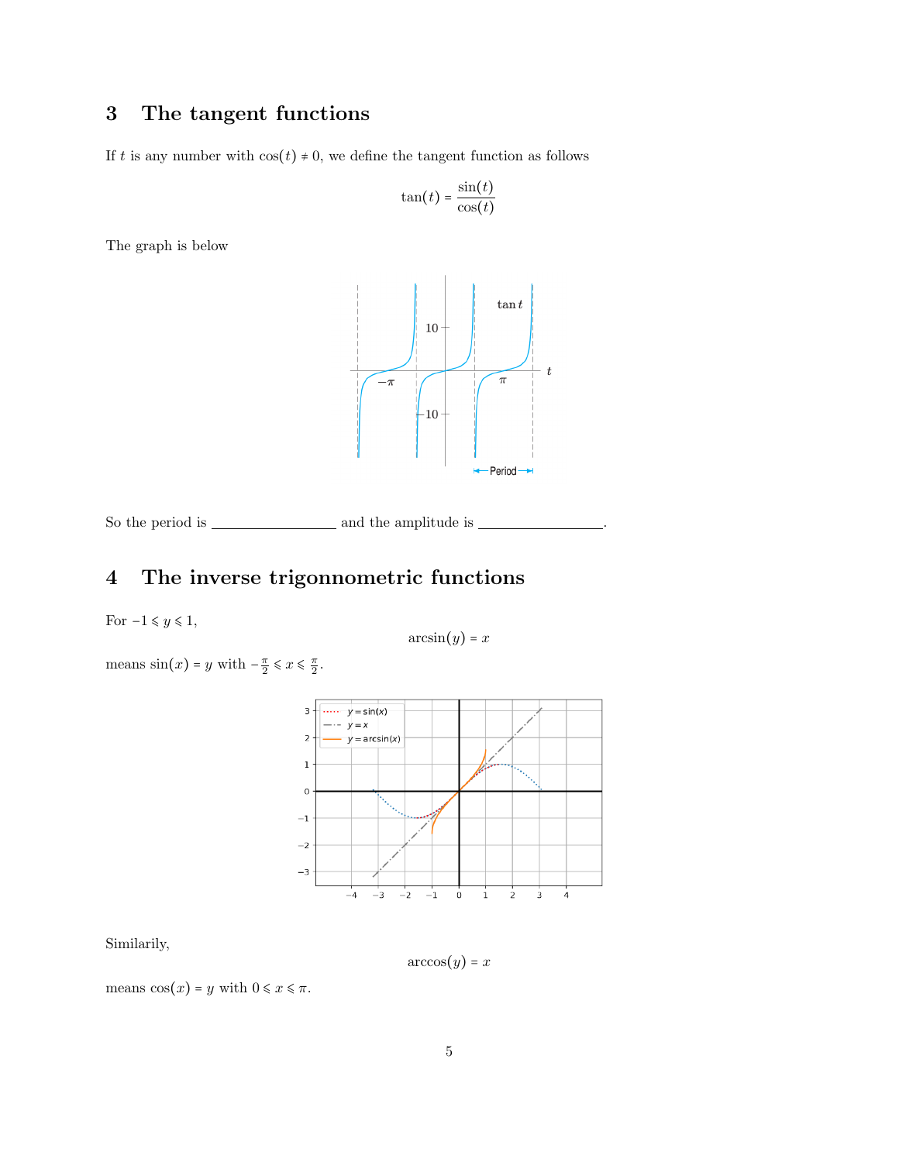## 3 The tangent functions

If t is any number with  $cos(t) \neq 0$ , we define the tangent function as follows

$$
\tan(t) = \frac{\sin(t)}{\cos(t)}
$$

The graph is below



So the period is and the amplitude is .

# 4 The inverse trigonnometric functions

For  $-1 \leq y \leq 1$ ,

$$
\arcsin(y) = x
$$

means 
$$
\sin(x) = y
$$
 with  $-\frac{\pi}{2} \le x \le \frac{\pi}{2}$ .



Similarily,

 $arccos(y) = x$ 

means  $cos(x) = y$  with  $0 \le x \le \pi$ .